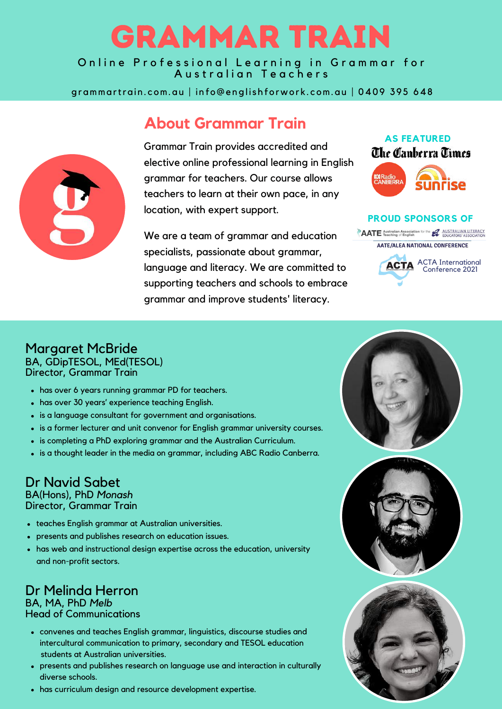# [GRAMMAR](http://www.grammartrain.com.au/) TRAIN

Online Professional Learning in Grammar for Australian Teachers

grammartrain.com.au | info@englishforwork.com.au | 0409 395 648

## **About Grammar Train**

Grammar Train provides accredited and elective online professional learning in English grammar for teachers. Our course allows teachers to learn at their own pace, in any location, with expert support.

We are a team of grammar and education specialists, passionate about grammar, language and literacy. We are committed to supporting teachers and schools to embrace grammar and improve students' literacy.



#### **PROUD SPONSORS OF**

**AATE** Australian Association for the **LAUSTRALIAN LITERACY AATE/ALEA NATIONAL CONFERENCE** 



#### Margaret McBride BA, GDipTESOL, MEd(TESOL) Director, Grammar Train

- has over 6 years running grammar PD for teachers.
- has over 30 years' experience teaching English.
- is a language consultant for government and organisations.
- is a former lecturer and unit convenor for English grammar university courses.
- is completing a PhD exploring grammar and the Australian Curriculum.
- is a thought leader in the media on grammar, including ABC Radio Canberra.

## Dr Navid Sabet

BA(Hons), PhD *Monash* Director, Grammar Train

- teaches English grammar at Australian universities.
- presents and publishes research on education issues.
- has web and instructional design expertise across the education, university and non-profit sectors.

#### Dr Melinda Herron BA, MA, PhD *Melb* Head of Communications

- convenes and teaches English grammar, linguistics, discourse studies and intercultural communication to primary, secondary and TESOL education
- presents and publishes research on language use and interaction in culturally diverse schools. students at Australian universities.
- has curriculum design and resource development expertise.





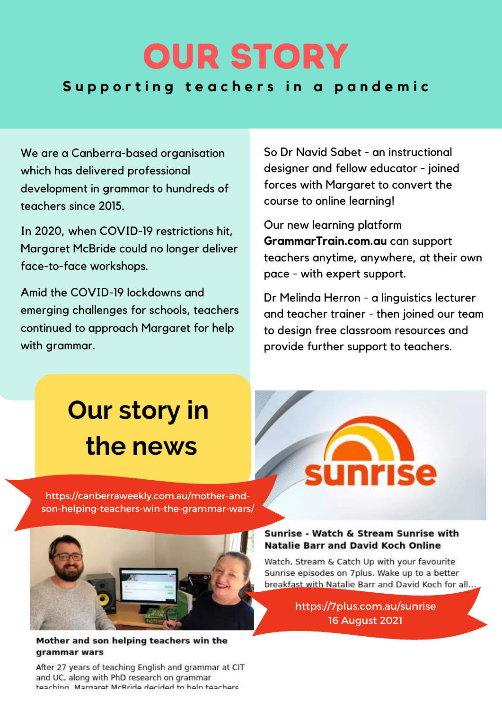## **OUR STORY OUR STORY** Supporting teachers in a pandemic

We are a Canberra-based organisation which has delivered professional development in grammar to hundreds of teachers since 2015.

In 2020, when COVID-19 restrictions hit, Margaret McBride could no longer deliver face-to-face workshops.

Amid the COVID-19 lockdowns and emerging challenges for schools, teachers continued to approach Margaret for help with grammar.

So Dr Navid Sabet - an instructional designer and fellow educator - joined forces with Margaret to convert the course to online learning!

Our new learning platform **[GrammarTrain.com.au](http://www.grammartrain.com.au/)** can support teachers anytime, anywhere, at their own pace - with expert support.

Dr Melinda Herron - a linguistics lecturer and teacher trainer - then joined our team to design free classroom resources and provide further support to teachers.

# **Our story in the news**

https://canberraweekly.com.au/mother-and[son-helping-teachers-win-the-grammar-wars/](https://canberraweekly.com.au/mother-and-son-helping-teachers-win-the-grammar-wars/)

# **Inrise**

#### Sunrise - Watch & Stream Sunrise with **Natalie Barr and David Koch Online**

Watch, Stream & Catch Up with your favourite Sunrise episodes on 7plus. Wake up to a better breakfast with Natalie Barr and David Koch for all...

> <https://7plus.com.au/sunrise> 16 August 2021



After 27 years of teaching English and grammar at CIT and UC, along with PhD research on grammar teaching Margaret McRride decided to help teachers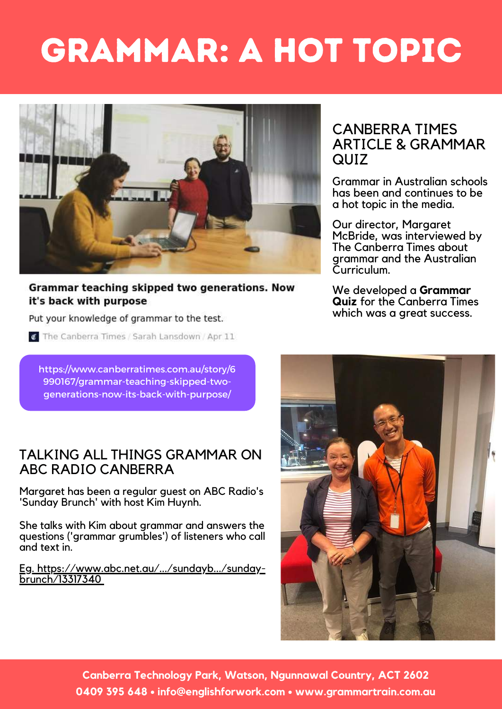# GRAMMAR: A HOT TOPIC



Grammar teaching skipped two generations. Now it's back with purpose

#### Put your knowledge of grammar to the test.

The Canberra Times / Sarah Lansdown / Apr 11

[https://www.canberratimes.com.au/story/6](https://www.canberratimes.com.au/story/6990167/grammar-teaching-skipped-two-generations-now-its-back-with-purpose/) 990167/grammar-teaching-skipped-twogenerations-now-its-back-with-purpose/

#### TALKING ALL THINGS GRAMMAR ON ABC RADIO CANBERRA

Margaret has been a regular guest on ABC Radio's 'Sunday Brunch' with host Kim Huynh.

She talks with Kim about grammar and answers the questions ('grammar grumbles') of listeners who call and text in.

Eg. [https://www.abc.net.au/.../sundayb.../sunday-](https://www.abc.net.au/radio/canberra/programs/sundaybrunch/sunday-brunch/13317340?fbclid=IwAR0g2TXCqzooTeLTNF8rfXYqtYxaiDjnuDap6PqxXtMjoaTlBiyVGzulhpY) brunch/1331734[0](https://www.abc.net.au/radio/canberra/programs/sundaybrunch/sunday-brunch/13317340?fbclid=IwAR0g2TXCqzooTeLTNF8rfXYqtYxaiDjnuDap6PqxXtMjoaTlBiyVGzulhpY)

#### CANBERRA TIMES ARTICLE & GRAMMAR QUIZ

Grammar in Australian schools has been and continues to be a hot topic in the media.

Our director, Margaret McBride, was interviewed by The Canberra Times about grammar and the Australian Curriculum.

We developed a **Grammar Quiz** for the Canberra Times which was a great success.



**Canberra Technology Park, Watson, Ngunnawal Country, ACT 2602 0409 395 648 • info@englishforwork.com • [www.grammartrain.com.au](http://www.grammartrain.com.au/)**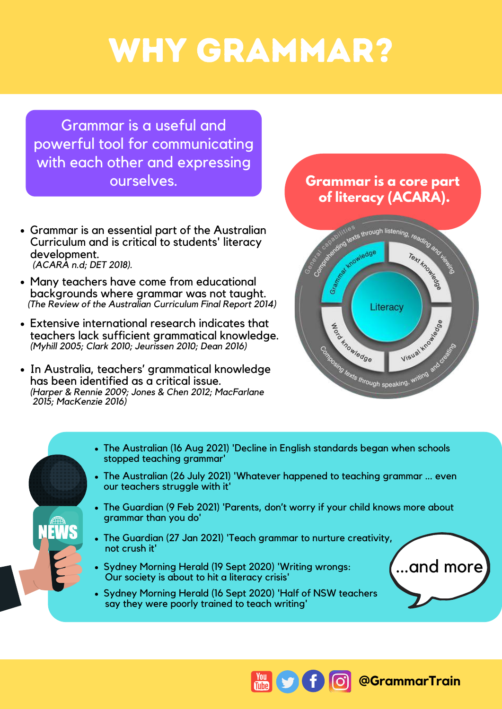# WHY GRAMMAR?

Grammar is a useful and powerful tool for communicating with each other and expressing ourselves.

- Grammar is an essential part of the Australian Curriculum and is critical to students' literacy development. *(ACARA n.d; DET 2018).*
- Many teachers have come from educational backgrounds where grammar was not taught. *(The Review of the Australian Curriculum Final Report 2014)*
- Extensive international research indicates that teachers lack sufficient grammatical knowledge. *(Myhill 2005; Clark 2010; Jeurissen 2010; Dean 2016)*
- In Australia, teachers' grammatical knowledge has been identified as a critical issue. *(Harper & Rennie 2009; Jones & Chen 2012; MacFarlane 2015; MacKenzie 2016)*

### **Grammar is a core part of literacy (ACARA).**



- The Australian (16 Aug 2021) 'Decline in English standards began when schools stopped teaching grammar'
- The Australian (26 July 2021) ['Whatever](https://www.theaustralian.com.au/commentary/letters/whatever-happened-to-teaching-grammar-even-our-teachers-struggle-with-it/news-story/b114d6bb5c9f52f7966225e9b477afc7) happened to teaching grammar ... even our teachers struggle with it'
- The Guardian (9 Feb 2021) 'Parents, don't worry if your child knows more about grammar than you do'
- The Guardian (27 Jan 2021) 'Teach grammar to nurture creativity, not crush it'
- Sydney Morning Herald (19 Sept 2020) 'Writing wrongs: Our society is about to hit a literacy crisis'
- Sydney Morning Herald (16 Sept 2020) 'Half of NSW teachers say they were poorly trained to teach writing'



**@GrammarTrain**

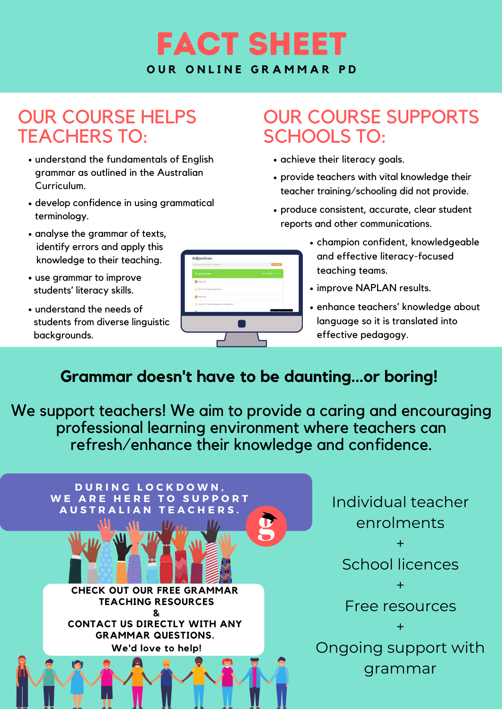

## OUR COURSE HELPS TEACHERS TO:

- understand the fundamentals of English grammar as outlined in the Australian Curriculum.
- develop confidence in using grammatical terminology.
- analyse the grammar of texts, identify errors and apply this knowledge to their teaching.
- use grammar to improve students' literacy skills.
- understand the needs of students from diverse linguistic backgrounds.

| <b>III Lasses Denser</b>                          |            |
|---------------------------------------------------|------------|
| <b>Children</b>                                   |            |
| D Arida's Station about                           |            |
| <b>Professions</b>                                |            |
| [3] Patrick T-Charge Universities of Ministersine |            |
| <b>Marinez</b>                                    | и такимент |
|                                                   |            |

## OUR COURSE SUPPORTS SCHOOLS TO:

- achieve their literacy goals.
- provide teachers with vital knowledge their teacher training/schooling did not provide.
- produce consistent, accurate, clear student reports and other communications.
	- champion confident, knowledgeable and effective literacy-focused teaching teams.
	- improve NAPLAN results.
	- enhance teachers' knowledge about language so it is translated into effective pedagogy.

## **Grammar doesn't have to be daunting...or boring!**

We support teachers! We aim to provide a caring and encouraging professional learning environment where teachers can refresh/enhance their knowledge and confidence.

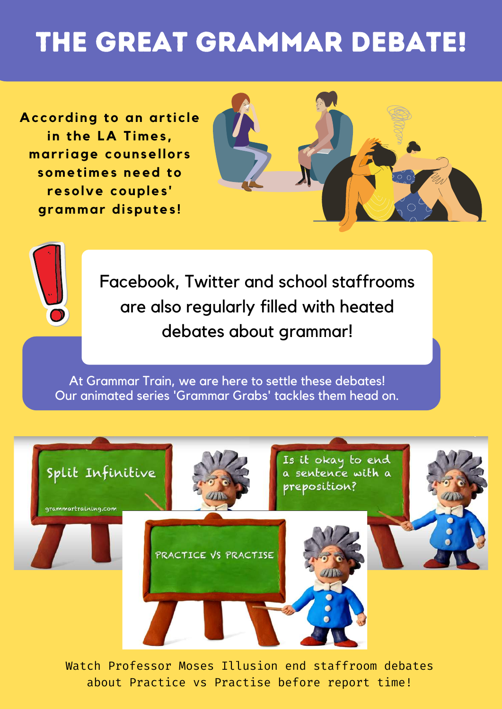# THE GREAT GRAMMAR DEBATE!

**Ac cording to an ar ti c le in the LA Times , mar r iage counsel lor s sometimes need to resolve couples ' grammar di sputes !**





Facebook, Twitter and school staffrooms are also regularly filled with heated debates about grammar!

At Grammar Train, we are here to settle these debates! Our animated series 'Grammar Grabs' tackles them head on.



Watch Professor Moses Illusion end staffroom debates about Practice vs Practise before report time!